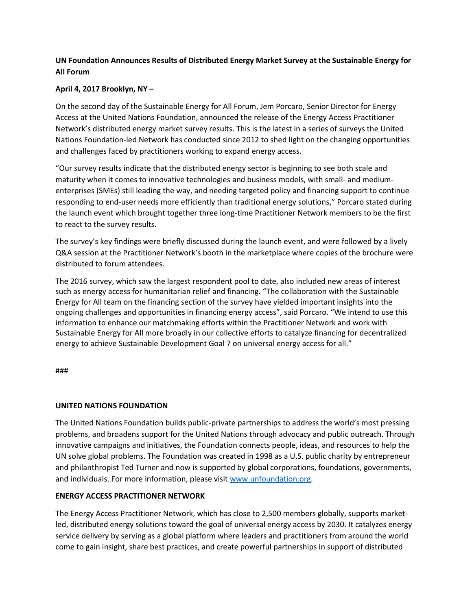## **UN Foundation Announces Results of Distributed Energy Market Survey at the Sustainable Energy for All Forum**

## **April 4, 2017 Brooklyn, NY –**

On the second day of the Sustainable Energy for All Forum, Jem Porcaro, Senior Director for Energy Access at the United Nations Foundation, announced the release of the Energy Access Practitioner Network's distributed energy market survey results. This is the latest in a series of surveys the United Nations Foundation-led Network has conducted since 2012 to shed light on the changing opportunities and challenges faced by practitioners working to expand energy access.

"Our survey results indicate that the distributed energy sector is beginning to see both scale and maturity when it comes to innovative technologies and business models, with small- and mediumenterprises (SMEs) still leading the way, and needing targeted policy and financing support to continue responding to end-user needs more efficiently than traditional energy solutions," Porcaro stated during the launch event which brought together three long-time Practitioner Network members to be the first to react to the survey results.

The survey's key findings were briefly discussed during the launch event, and were followed by a lively Q&A session at the Practitioner Network's booth in the marketplace where copies of the brochure were distributed to forum attendees.

The 2016 survey, which saw the largest respondent pool to date, also included new areas of interest such as energy access for humanitarian relief and financing. "The collaboration with the Sustainable Energy for All team on the financing section of the survey have yielded important insights into the ongoing challenges and opportunities in financing energy access", said Porcaro. "We intend to use this information to enhance our matchmaking efforts within the Practitioner Network and work with Sustainable Energy for All more broadly in our collective efforts to catalyze financing for decentralized energy to achieve Sustainable Development Goal 7 on universal energy access for all."

###

## **UNITED NATIONS FOUNDATION**

The United Nations Foundation builds public-private partnerships to address the world's most pressing problems, and broadens support for the United Nations through advocacy and public outreach. Through innovative campaigns and initiatives, the Foundation connects people, ideas, and resources to help the UN solve global problems. The Foundation was created in 1998 as a U.S. public charity by entrepreneur and philanthropist Ted Turner and now is supported by global corporations, foundations, governments, and individuals. For more information, please visit [www.unfoundation.org.](http://www.unfoundation.org/)

## **ENERGY ACCESS PRACTITIONER NETWORK**

The Energy Access Practitioner Network, which has close to 2,500 members globally, supports marketled, distributed energy solutions toward the goal of universal energy access by 2030. It catalyzes energy service delivery by serving as a global platform where leaders and practitioners from around the world come to gain insight, share best practices, and create powerful partnerships in support of distributed